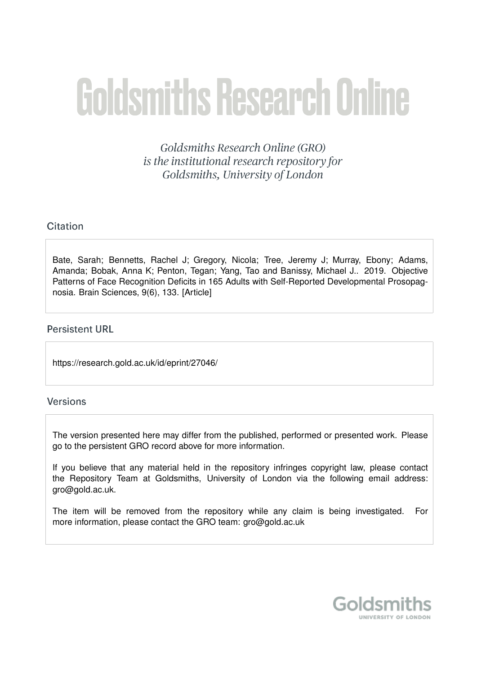# **Goldsmiths Research Online**

Goldsmiths Research Online (GRO) is the institutional research repository for Goldsmiths, University of London

# Citation

Bate, Sarah; Bennetts, Rachel J; Gregory, Nicola; Tree, Jeremy J; Murray, Ebony; Adams, Amanda; Bobak, Anna K; Penton, Tegan; Yang, Tao and Banissy, Michael J.. 2019. Objective Patterns of Face Recognition Deficits in 165 Adults with Self-Reported Developmental Prosopagnosia. Brain Sciences, 9(6), 133. [Article]

## **Persistent URL**

https://research.gold.ac.uk/id/eprint/27046/

## Versions

The version presented here may differ from the published, performed or presented work. Please go to the persistent GRO record above for more information.

If you believe that any material held in the repository infringes copyright law, please contact the Repository Team at Goldsmiths, University of London via the following email address: gro@gold.ac.uk.

The item will be removed from the repository while any claim is being investigated. For more information, please contact the GRO team: gro@gold.ac.uk

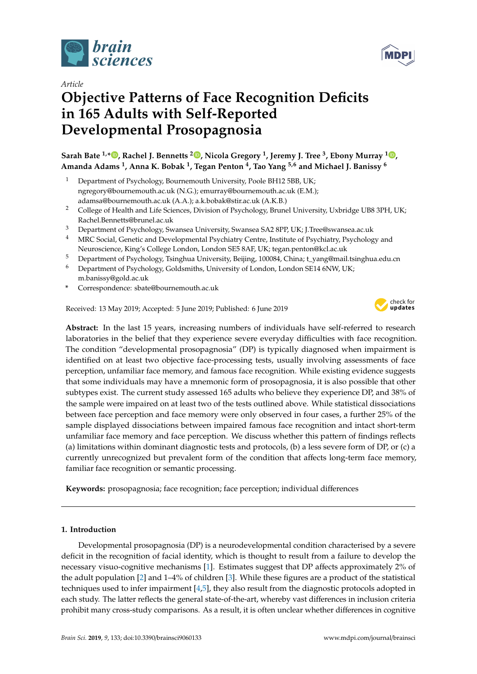

*Article*

# **Objective Patterns of Face Recognition Deficits in 165 Adults with Self-Reported Developmental Prosopagnosia**

**Sarah Bate 1,\* [,](https://orcid.org/0000-0001-5484-8195) Rachel J. Bennetts <sup>2</sup> [,](https://orcid.org/0000-0002-3543-9836) Nicola Gregory <sup>1</sup> , Jeremy J. Tree <sup>3</sup> , Ebony Murray <sup>1</sup> [,](https://orcid.org/0000-0003-4928-5871) Amanda Adams <sup>1</sup> , Anna K. Bobak <sup>1</sup> , Tegan Penton <sup>4</sup> , Tao Yang 5,6 and Michael J. Banissy <sup>6</sup>**

- <sup>1</sup> Department of Psychology, Bournemouth University, Poole BH12 5BB, UK; ngregory@bournemouth.ac.uk (N.G.); emurray@bournemouth.ac.uk (E.M.); adamsa@bournemouth.ac.uk (A.A.); a.k.bobak@stir.ac.uk (A.K.B.)
- <sup>2</sup> College of Health and Life Sciences, Division of Psychology, Brunel University, Uxbridge UB8 3PH, UK; Rachel.Bennetts@brunel.ac.uk
- <sup>3</sup> Department of Psychology, Swansea University, Swansea SA2 8PP, UK; J.Tree@swansea.ac.uk
- <sup>4</sup> MRC Social, Genetic and Developmental Psychiatry Centre, Institute of Psychiatry, Psychology and Neuroscience, King's College London, London SE5 8AF, UK; tegan.penton@kcl.ac.uk
- <sup>5</sup> Department of Psychology, Tsinghua University, Beijing, 100084, China; t\_yang@mail.tsinghua.edu.cn
- <sup>6</sup> Department of Psychology, Goldsmiths, University of London, London SE14 6NW, UK; m.banissy@gold.ac.uk
- **\*** Correspondence: sbate@bournemouth.ac.uk

Received: 13 May 2019; Accepted: 5 June 2019; Published: 6 June 2019



**MDP** 

**Abstract:** In the last 15 years, increasing numbers of individuals have self-referred to research laboratories in the belief that they experience severe everyday difficulties with face recognition. The condition "developmental prosopagnosia" (DP) is typically diagnosed when impairment is identified on at least two objective face-processing tests, usually involving assessments of face perception, unfamiliar face memory, and famous face recognition. While existing evidence suggests that some individuals may have a mnemonic form of prosopagnosia, it is also possible that other subtypes exist. The current study assessed 165 adults who believe they experience DP, and 38% of the sample were impaired on at least two of the tests outlined above. While statistical dissociations between face perception and face memory were only observed in four cases, a further 25% of the sample displayed dissociations between impaired famous face recognition and intact short-term unfamiliar face memory and face perception. We discuss whether this pattern of findings reflects (a) limitations within dominant diagnostic tests and protocols, (b) a less severe form of DP, or (c) a currently unrecognized but prevalent form of the condition that affects long-term face memory, familiar face recognition or semantic processing.

**Keywords:** prosopagnosia; face recognition; face perception; individual differences

#### **1. Introduction**

Developmental prosopagnosia (DP) is a neurodevelopmental condition characterised by a severe deficit in the recognition of facial identity, which is thought to result from a failure to develop the necessary visuo-cognitive mechanisms [\[1\]](#page-15-0). Estimates suggest that DP affects approximately 2% of the adult population [\[2\]](#page-15-1) and 1–4% of children [\[3\]](#page-15-2). While these figures are a product of the statistical techniques used to infer impairment [\[4,](#page-15-3)[5\]](#page-15-4), they also result from the diagnostic protocols adopted in each study. The latter reflects the general state-of-the-art, whereby vast differences in inclusion criteria prohibit many cross-study comparisons. As a result, it is often unclear whether differences in cognitive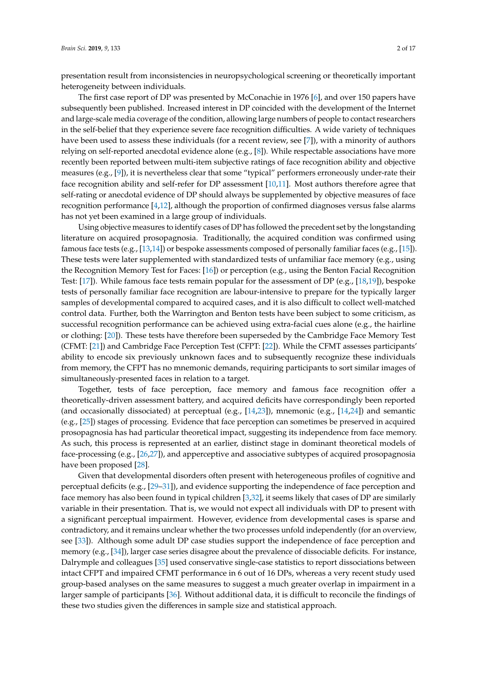presentation result from inconsistencies in neuropsychological screening or theoretically important heterogeneity between individuals.

The first case report of DP was presented by McConachie in 1976 [\[6\]](#page-15-5), and over 150 papers have subsequently been published. Increased interest in DP coincided with the development of the Internet and large-scale media coverage of the condition, allowing large numbers of people to contact researchers in the self-belief that they experience severe face recognition difficulties. A wide variety of techniques have been used to assess these individuals (for a recent review, see [\[7\]](#page-15-6)), with a minority of authors relying on self-reported anecdotal evidence alone (e.g., [\[8\]](#page-15-7)). While respectable associations have more recently been reported between multi-item subjective ratings of face recognition ability and objective measures (e.g., [\[9\]](#page-15-8)), it is nevertheless clear that some "typical" performers erroneously under-rate their face recognition ability and self-refer for DP assessment [\[10,](#page-15-9)[11\]](#page-15-10). Most authors therefore agree that self-rating or anecdotal evidence of DP should always be supplemented by objective measures of face recognition performance [\[4,](#page-15-3)[12\]](#page-15-11), although the proportion of confirmed diagnoses versus false alarms has not yet been examined in a large group of individuals.

Using objective measures to identify cases of DP has followed the precedent set by the longstanding literature on acquired prosopagnosia. Traditionally, the acquired condition was confirmed using famous face tests (e.g., [\[13,](#page-15-12)[14\]](#page-15-13)) or bespoke assessments composed of personally familiar faces (e.g., [\[15\]](#page-15-14)). These tests were later supplemented with standardized tests of unfamiliar face memory (e.g., using the Recognition Memory Test for Faces: [\[16\]](#page-15-15)) or perception (e.g., using the Benton Facial Recognition Test: [\[17\]](#page-15-16)). While famous face tests remain popular for the assessment of DP (e.g., [\[18](#page-15-17)[,19\]](#page-15-18)), bespoke tests of personally familiar face recognition are labour-intensive to prepare for the typically larger samples of developmental compared to acquired cases, and it is also difficult to collect well-matched control data. Further, both the Warrington and Benton tests have been subject to some criticism, as successful recognition performance can be achieved using extra-facial cues alone (e.g., the hairline or clothing: [\[20\]](#page-16-0)). These tests have therefore been superseded by the Cambridge Face Memory Test (CFMT: [\[21\]](#page-16-1)) and Cambridge Face Perception Test (CFPT: [\[22\]](#page-16-2)). While the CFMT assesses participants' ability to encode six previously unknown faces and to subsequently recognize these individuals from memory, the CFPT has no mnemonic demands, requiring participants to sort similar images of simultaneously-presented faces in relation to a target.

Together, tests of face perception, face memory and famous face recognition offer a theoretically-driven assessment battery, and acquired deficits have correspondingly been reported (and occasionally dissociated) at perceptual (e.g.,  $[14,23]$  $[14,23]$ ), mnemonic (e.g.,  $[14,24]$  $[14,24]$ ) and semantic (e.g., [\[25\]](#page-16-5)) stages of processing. Evidence that face perception can sometimes be preserved in acquired prosopagnosia has had particular theoretical impact, suggesting its independence from face memory. As such, this process is represented at an earlier, distinct stage in dominant theoretical models of face-processing (e.g., [\[26,](#page-16-6)[27\]](#page-16-7)), and apperceptive and associative subtypes of acquired prosopagnosia have been proposed [\[28\]](#page-16-8).

Given that developmental disorders often present with heterogeneous profiles of cognitive and perceptual deficits (e.g.,  $[29-31]$  $[29-31]$ ), and evidence supporting the independence of face perception and face memory has also been found in typical children [\[3,](#page-15-2)[32\]](#page-16-11), it seems likely that cases of DP are similarly variable in their presentation. That is, we would not expect all individuals with DP to present with a significant perceptual impairment. However, evidence from developmental cases is sparse and contradictory, and it remains unclear whether the two processes unfold independently (for an overview, see [\[33\]](#page-16-12)). Although some adult DP case studies support the independence of face perception and memory (e.g., [\[34\]](#page-16-13)), larger case series disagree about the prevalence of dissociable deficits. For instance, Dalrymple and colleagues [\[35\]](#page-16-14) used conservative single-case statistics to report dissociations between intact CFPT and impaired CFMT performance in 6 out of 16 DPs, whereas a very recent study used group-based analyses on the same measures to suggest a much greater overlap in impairment in a larger sample of participants [\[36\]](#page-16-15). Without additional data, it is difficult to reconcile the findings of these two studies given the differences in sample size and statistical approach.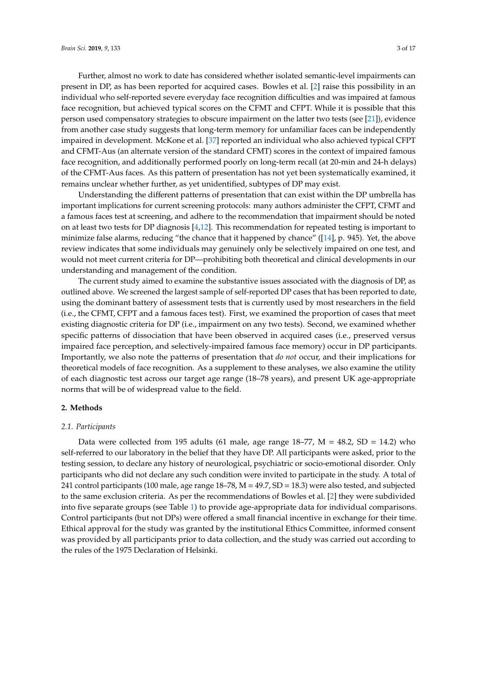Further, almost no work to date has considered whether isolated semantic-level impairments can present in DP, as has been reported for acquired cases. Bowles et al. [\[2\]](#page-15-1) raise this possibility in an individual who self-reported severe everyday face recognition difficulties and was impaired at famous face recognition, but achieved typical scores on the CFMT and CFPT. While it is possible that this person used compensatory strategies to obscure impairment on the latter two tests (see [\[21\]](#page-16-1)), evidence from another case study suggests that long-term memory for unfamiliar faces can be independently impaired in development. McKone et al. [\[37\]](#page-16-16) reported an individual who also achieved typical CFPT and CFMT-Aus (an alternate version of the standard CFMT) scores in the context of impaired famous face recognition, and additionally performed poorly on long-term recall (at 20-min and 24-h delays) of the CFMT-Aus faces. As this pattern of presentation has not yet been systematically examined, it remains unclear whether further, as yet unidentified, subtypes of DP may exist.

Understanding the different patterns of presentation that can exist within the DP umbrella has important implications for current screening protocols: many authors administer the CFPT, CFMT and a famous faces test at screening, and adhere to the recommendation that impairment should be noted on at least two tests for DP diagnosis [\[4,](#page-15-3)[12\]](#page-15-11). This recommendation for repeated testing is important to minimize false alarms, reducing "the chance that it happened by chance" ([\[14\]](#page-15-13), p. 945). Yet, the above review indicates that some individuals may genuinely only be selectively impaired on one test, and would not meet current criteria for DP—prohibiting both theoretical and clinical developments in our understanding and management of the condition.

The current study aimed to examine the substantive issues associated with the diagnosis of DP, as outlined above. We screened the largest sample of self-reported DP cases that has been reported to date, using the dominant battery of assessment tests that is currently used by most researchers in the field (i.e., the CFMT, CFPT and a famous faces test). First, we examined the proportion of cases that meet existing diagnostic criteria for DP (i.e., impairment on any two tests). Second, we examined whether specific patterns of dissociation that have been observed in acquired cases (i.e., preserved versus impaired face perception, and selectively-impaired famous face memory) occur in DP participants. Importantly, we also note the patterns of presentation that *do not* occur, and their implications for theoretical models of face recognition. As a supplement to these analyses, we also examine the utility of each diagnostic test across our target age range (18–78 years), and present UK age-appropriate norms that will be of widespread value to the field.

#### **2. Methods**

#### *2.1. Participants*

Data were collected from 195 adults (61 male, age range  $18-77$ , M = 48.2, SD = 14.2) who self-referred to our laboratory in the belief that they have DP. All participants were asked, prior to the testing session, to declare any history of neurological, psychiatric or socio-emotional disorder. Only participants who did not declare any such condition were invited to participate in the study. A total of 241 control participants (100 male, age range 18–78, M = 49.7, SD = 18.3) were also tested, and subjected to the same exclusion criteria. As per the recommendations of Bowles et al. [\[2\]](#page-15-1) they were subdivided into five separate groups (see Table [1\)](#page-4-0) to provide age-appropriate data for individual comparisons. Control participants (but not DPs) were offered a small financial incentive in exchange for their time. Ethical approval for the study was granted by the institutional Ethics Committee, informed consent was provided by all participants prior to data collection, and the study was carried out according to the rules of the 1975 Declaration of Helsinki.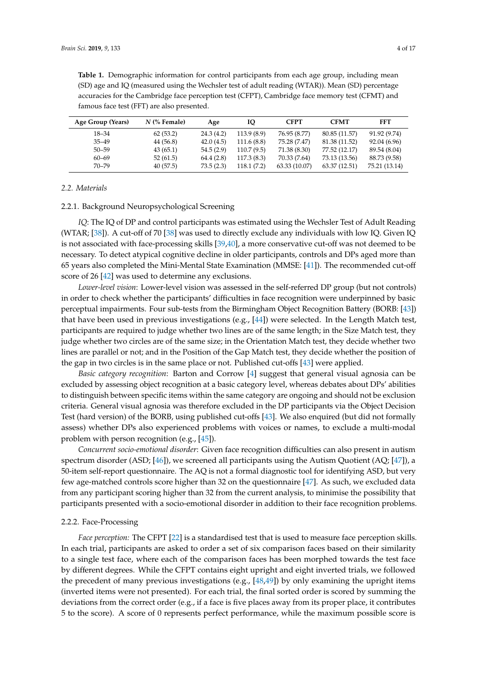| Age Group (Years) | $N$ (% Female) | Age        | IQ         | <b>CFPT</b>   | <b>CFMT</b>   | FFT           |
|-------------------|----------------|------------|------------|---------------|---------------|---------------|
| 18–34             | 62(53.2)       | 24.3(4.2)  | 113.9(8.9) | 76.95 (8.77)  | 80.85 (11.57) | 91.92 (9.74)  |
| $35 - 49$         | 44 (56.8)      | 42.0(4.5)  | 111.6(8.8) | 75.28 (7.47)  | 81.38 (11.52) | 92.04 (6.96)  |
| $50 - 59$         | 43(65.1)       | 54.5(2.9)  | 110.7(9.5) | 71.38 (8.30)  | 77.52 (12.17) | 89.54 (8.04)  |
| $60 - 69$         | 52(61.5)       | 64.4 (2.8) | 117.3(8.3) | 70.33 (7.64)  | 73.13 (13.56) | 88.73 (9.58)  |
| $70 - 79$         | 40(57.5)       | 73.5(2.3)  | 118.1(7.2) | 63.33 (10.07) | 63.37 (12.51) | 75.21 (13.14) |

<span id="page-4-0"></span>**Table 1.** Demographic information for control participants from each age group, including mean (SD) age and IQ (measured using the Wechsler test of adult reading (WTAR)). Mean (SD) percentage accuracies for the Cambridge face perception test (CFPT), Cambridge face memory test (CFMT) and famous face test (FFT) are also presented.

#### *2.2. Materials*

#### 2.2.1. Background Neuropsychological Screening

*IQ*: The IQ of DP and control participants was estimated using the Wechsler Test of Adult Reading (WTAR; [\[38\]](#page-16-17)). A cut-off of 70 [\[38\]](#page-16-17) was used to directly exclude any individuals with low IQ. Given IQ is not associated with face-processing skills [\[39,](#page-16-18)[40\]](#page-16-19), a more conservative cut-off was not deemed to be necessary. To detect atypical cognitive decline in older participants, controls and DPs aged more than 65 years also completed the Mini-Mental State Examination (MMSE: [\[41\]](#page-16-20)). The recommended cut-off score of 26 [\[42\]](#page-16-21) was used to determine any exclusions.

*Lower-level vision*: Lower-level vision was assessed in the self-referred DP group (but not controls) in order to check whether the participants' difficulties in face recognition were underpinned by basic perceptual impairments. Four sub-tests from the Birmingham Object Recognition Battery (BORB: [\[43\]](#page-17-0)) that have been used in previous investigations (e.g., [\[44\]](#page-17-1)) were selected. In the Length Match test, participants are required to judge whether two lines are of the same length; in the Size Match test, they judge whether two circles are of the same size; in the Orientation Match test, they decide whether two lines are parallel or not; and in the Position of the Gap Match test, they decide whether the position of the gap in two circles is in the same place or not. Published cut-offs [\[43\]](#page-17-0) were applied.

*Basic category recognition*: Barton and Corrow [\[4\]](#page-15-3) suggest that general visual agnosia can be excluded by assessing object recognition at a basic category level, whereas debates about DPs' abilities to distinguish between specific items within the same category are ongoing and should not be exclusion criteria. General visual agnosia was therefore excluded in the DP participants via the Object Decision Test (hard version) of the BORB, using published cut-offs [\[43\]](#page-17-0). We also enquired (but did not formally assess) whether DPs also experienced problems with voices or names, to exclude a multi-modal problem with person recognition (e.g., [\[45\]](#page-17-2)).

*Concurrent socio-emotional disorder*: Given face recognition difficulties can also present in autism spectrum disorder (ASD; [\[46\]](#page-17-3)), we screened all participants using the Autism Quotient (AQ; [\[47\]](#page-17-4)), a 50-item self-report questionnaire. The AQ is not a formal diagnostic tool for identifying ASD, but very few age-matched controls score higher than 32 on the questionnaire [\[47\]](#page-17-4). As such, we excluded data from any participant scoring higher than 32 from the current analysis, to minimise the possibility that participants presented with a socio-emotional disorder in addition to their face recognition problems.

#### 2.2.2. Face-Processing

*Face perception:* The CFPT [\[22\]](#page-16-2) is a standardised test that is used to measure face perception skills. In each trial, participants are asked to order a set of six comparison faces based on their similarity to a single test face, where each of the comparison faces has been morphed towards the test face by different degrees. While the CFPT contains eight upright and eight inverted trials, we followed the precedent of many previous investigations (e.g.,  $[48,49]$  $[48,49]$ ) by only examining the upright items (inverted items were not presented). For each trial, the final sorted order is scored by summing the deviations from the correct order (e.g., if a face is five places away from its proper place, it contributes 5 to the score). A score of 0 represents perfect performance, while the maximum possible score is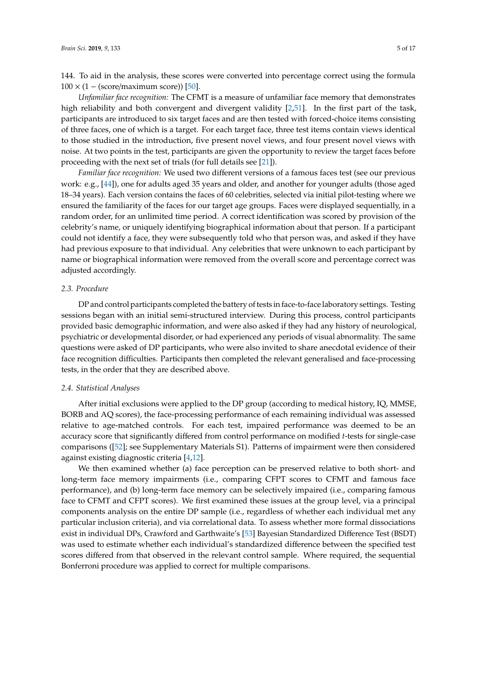144. To aid in the analysis, these scores were converted into percentage correct using the formula  $100 \times (1 - (score/maximum score))$  [\[50\]](#page-17-7).

*Unfamiliar face recognition:* The CFMT is a measure of unfamiliar face memory that demonstrates high reliability and both convergent and divergent validity [\[2,](#page-15-1)[51\]](#page-17-8). In the first part of the task, participants are introduced to six target faces and are then tested with forced-choice items consisting of three faces, one of which is a target. For each target face, three test items contain views identical to those studied in the introduction, five present novel views, and four present novel views with noise. At two points in the test, participants are given the opportunity to review the target faces before proceeding with the next set of trials (for full details see [\[21\]](#page-16-1)).

*Familiar face recognition:* We used two different versions of a famous faces test (see our previous work: e.g., [\[44\]](#page-17-1)), one for adults aged 35 years and older, and another for younger adults (those aged 18–34 years). Each version contains the faces of 60 celebrities, selected via initial pilot-testing where we ensured the familiarity of the faces for our target age groups. Faces were displayed sequentially, in a random order, for an unlimited time period. A correct identification was scored by provision of the celebrity's name, or uniquely identifying biographical information about that person. If a participant could not identify a face, they were subsequently told who that person was, and asked if they have had previous exposure to that individual. Any celebrities that were unknown to each participant by name or biographical information were removed from the overall score and percentage correct was adjusted accordingly.

#### *2.3. Procedure*

DP and control participants completed the battery of tests in face-to-face laboratory settings. Testing sessions began with an initial semi-structured interview. During this process, control participants provided basic demographic information, and were also asked if they had any history of neurological, psychiatric or developmental disorder, or had experienced any periods of visual abnormality. The same questions were asked of DP participants, who were also invited to share anecdotal evidence of their face recognition difficulties. Participants then completed the relevant generalised and face-processing tests, in the order that they are described above.

#### *2.4. Statistical Analyses*

After initial exclusions were applied to the DP group (according to medical history, IQ, MMSE, BORB and AQ scores), the face-processing performance of each remaining individual was assessed relative to age-matched controls. For each test, impaired performance was deemed to be an accuracy score that significantly differed from control performance on modified *t*-tests for single-case comparisons ([\[52\]](#page-17-9); see Supplementary Materials S1). Patterns of impairment were then considered against existing diagnostic criteria [\[4,](#page-15-3)[12\]](#page-15-11).

We then examined whether (a) face perception can be preserved relative to both short- and long-term face memory impairments (i.e., comparing CFPT scores to CFMT and famous face performance), and (b) long-term face memory can be selectively impaired (i.e., comparing famous face to CFMT and CFPT scores). We first examined these issues at the group level, via a principal components analysis on the entire DP sample (i.e., regardless of whether each individual met any particular inclusion criteria), and via correlational data. To assess whether more formal dissociations exist in individual DPs, Crawford and Garthwaite's [\[53\]](#page-17-10) Bayesian Standardized Difference Test (BSDT) was used to estimate whether each individual's standardized difference between the specified test scores differed from that observed in the relevant control sample. Where required, the sequential Bonferroni procedure was applied to correct for multiple comparisons.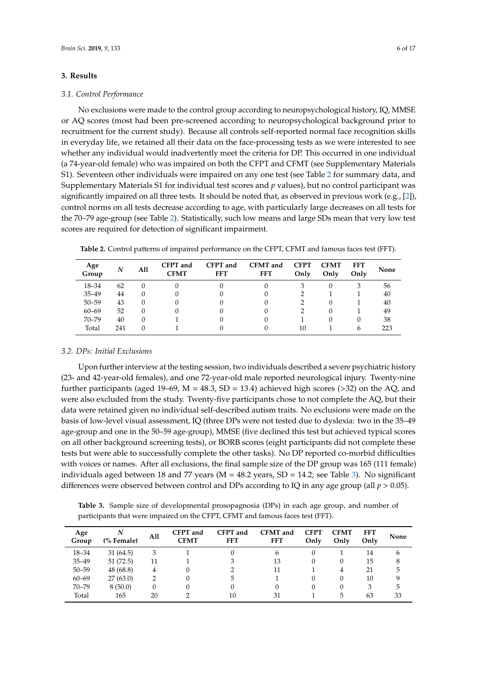#### **3. Results**

#### *3.1. Control Performance*

No exclusions were made to the control group according to neuropsychological history, IQ, MMSE or AQ scores (most had been pre-screened according to neuropsychological background prior to recruitment for the current study). Because all controls self-reported normal face recognition skills in everyday life, we retained all their data on the face-processing tests as we were interested to see whether any individual would inadvertently meet the criteria for DP. This occurred in one individual (a 74-year-old female) who was impaired on both the CFPT and CFMT (see Supplementary Materials S1). Seventeen other individuals were impaired on any one test (see Table [2](#page-6-0) for summary data, and Supplementary Materials S1 for individual test scores and *p* values), but no control participant was significantly impaired on all three tests. It should be noted that, as observed in previous work (e.g., [\[2\]](#page-15-1)), control norms on all tests decrease according to age, with particularly large decreases on all tests for the 70–79 age-group (see Table [2\)](#page-6-0). Statistically, such low means and large SDs mean that very low test scores are required for detection of significant impairment.

| Age<br>Group | N   | All | CFPT and<br><b>CFMT</b> | CFPT and<br><b>FFT</b> | <b>CFMT</b> and<br><b>FFT</b> | <b>CFPT</b><br>Only | <b>CFMT</b><br>Only | <b>FFT</b><br>Only | None |
|--------------|-----|-----|-------------------------|------------------------|-------------------------------|---------------------|---------------------|--------------------|------|
| 18-34        | 62  |     |                         |                        |                               | 3                   |                     |                    | 56   |
| $35 - 49$    | 44  |     |                         |                        |                               |                     |                     |                    | 40   |
| $50 - 59$    | 43  |     |                         |                        |                               |                     |                     |                    | 40   |
| $60 - 69$    | 52  |     |                         |                        |                               |                     |                     |                    | 49   |
| $70 - 79$    | 40  |     |                         |                        |                               |                     |                     | $\theta$           | 38   |
| Total        | 241 |     |                         |                        |                               | 10                  |                     |                    | 223  |

<span id="page-6-0"></span>**Table 2.** Control patterns of impaired performance on the CFPT, CFMT and famous faces test (FFT).

#### *3.2. DPs: Initial Exclusions*

Upon further interview at the testing session, two individuals described a severe psychiatric history (23- and 42-year-old females), and one 72-year-old male reported neurological injury. Twenty-nine further participants (aged 19–69,  $M = 48.3$ , SD = 13.4) achieved high scores (>32) on the AQ, and were also excluded from the study. Twenty-five participants chose to not complete the AQ, but their data were retained given no individual self-described autism traits. No exclusions were made on the basis of low-level visual assessment, IQ (three DPs were not tested due to dyslexia: two in the 35–49 age-group and one in the 50–59 age-group), MMSE (five declined this test but achieved typical scores on all other background screening tests), or BORB scores (eight participants did not complete these tests but were able to successfully complete the other tasks). No DP reported co-morbid difficulties with voices or names. After all exclusions, the final sample size of the DP group was 165 (111 female) individuals aged between 18 and 77 years ( $M = 48.2$  years,  $SD = 14.2$ ; see Table [3\)](#page-6-1). No significant differences were observed between control and DPs according to IQ in any age group (all  $p > 0.05$ ).

<span id="page-6-1"></span>**Table 3.** Sample size of developmental prosopagnosia (DPs) in each age group, and number of participants that were impaired on the CFPT, CFMT and famous faces test (FFT).

| Age<br>Group | N<br>(% Female) | All | CFPT and<br><b>CFMT</b> | CFPT and<br><b>FFT</b> | <b>CFMT</b> and<br><b>FFT</b> | <b>CFPT</b><br>Only | <b>CFMT</b><br>Only | <b>FFT</b><br>Only | <b>None</b> |
|--------------|-----------------|-----|-------------------------|------------------------|-------------------------------|---------------------|---------------------|--------------------|-------------|
|              |                 |     |                         |                        |                               |                     |                     |                    |             |
| $18 - 34$    | 31(64.5)        | 3   |                         |                        | 6                             |                     |                     | 14                 | b           |
| $35 - 49$    | 51(72.5)        | 11  |                         | 3                      | 13                            |                     |                     | 15                 | 8           |
| $50 - 59$    | 48 (68.8)       | 4   |                         |                        | 11                            |                     | 4                   | 21                 | 5           |
| $60 - 69$    | 27(63.0)        |     |                         | 5                      |                               |                     | 0                   | 10                 | q           |
| $70 - 79$    | 8(50.0)         |     |                         |                        | 0                             |                     |                     | 3                  | 5           |
| Total        | 165             | 20  |                         | 10                     | 31                            |                     | 5                   | 63                 | 33          |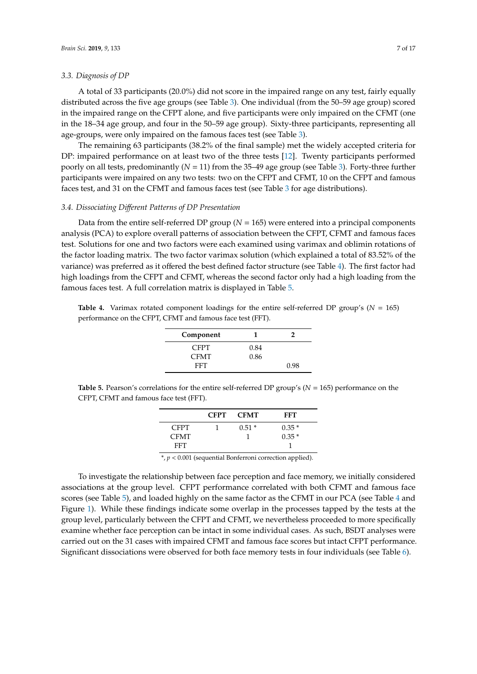#### *3.3. Diagnosis of DP*

A total of 33 participants (20.0%) did not score in the impaired range on any test, fairly equally distributed across the five age groups (see Table [3\)](#page-6-1). One individual (from the 50–59 age group) scored in the impaired range on the CFPT alone, and five participants were only impaired on the CFMT (one in the 18–34 age group, and four in the 50–59 age group). Sixty-three participants, representing all age-groups, were only impaired on the famous faces test (see Table [3\)](#page-6-1).

The remaining 63 participants (38.2% of the final sample) met the widely accepted criteria for DP: impaired performance on at least two of the three tests [\[12\]](#page-15-11). Twenty participants performed poorly on all tests, predominantly (*N* = 11) from the 35–49 age group (see Table [3\)](#page-6-1). Forty-three further participants were impaired on any two tests: two on the CFPT and CFMT, 10 on the CFPT and famous faces test, and 31 on the CFMT and famous faces test (see Table [3](#page-6-1) for age distributions).

#### *3.4. Dissociating Di*ff*erent Patterns of DP Presentation*

Data from the entire self-referred DP group  $(N = 165)$  were entered into a principal components analysis (PCA) to explore overall patterns of association between the CFPT, CFMT and famous faces test. Solutions for one and two factors were each examined using varimax and oblimin rotations of the factor loading matrix. The two factor varimax solution (which explained a total of 83.52% of the variance) was preferred as it offered the best defined factor structure (see Table [4\)](#page-7-0). The first factor had high loadings from the CFPT and CFMT, whereas the second factor only had a high loading from the famous faces test. A full correlation matrix is displayed in Table [5.](#page-7-1)

<span id="page-7-0"></span>**Table 4.** Varimax rotated component loadings for the entire self-referred DP group's ( $N = 165$ ) performance on the CFPT, CFMT and famous face test (FFT).

| Component   | т.   |      |
|-------------|------|------|
| <b>CFPT</b> | 0.84 |      |
| <b>CFMT</b> | 0.86 |      |
| FFT         |      | 0.98 |

<span id="page-7-1"></span>**Table 5.** Pearson's correlations for the entire self-referred DP group's (*N* = 165) performance on the CFPT, CFMT and famous face test (FFT).

|             | <b>CFPT</b> | <b>CFMT</b> | FFT     |
|-------------|-------------|-------------|---------|
| <b>CFPT</b> |             | $0.51*$     | $0.35*$ |
| <b>CFMT</b> |             |             | $0.35*$ |
| FFT.        |             |             |         |

\*, *p* < 0.001 (sequential Bonferroni correction applied).

To investigate the relationship between face perception and face memory, we initially considered associations at the group level. CFPT performance correlated with both CFMT and famous face scores (see Table [5\)](#page-7-1), and loaded highly on the same factor as the CFMT in our PCA (see Table [4](#page-7-0) and Figure [1\)](#page-8-0). While these findings indicate some overlap in the processes tapped by the tests at the group level, particularly between the CFPT and CFMT, we nevertheless proceeded to more specifically examine whether face perception can be intact in some individual cases. As such, BSDT analyses were carried out on the 31 cases with impaired CFMT and famous face scores but intact CFPT performance. Significant dissociations were observed for both face memory tests in four individuals (see Table [6\)](#page-9-0).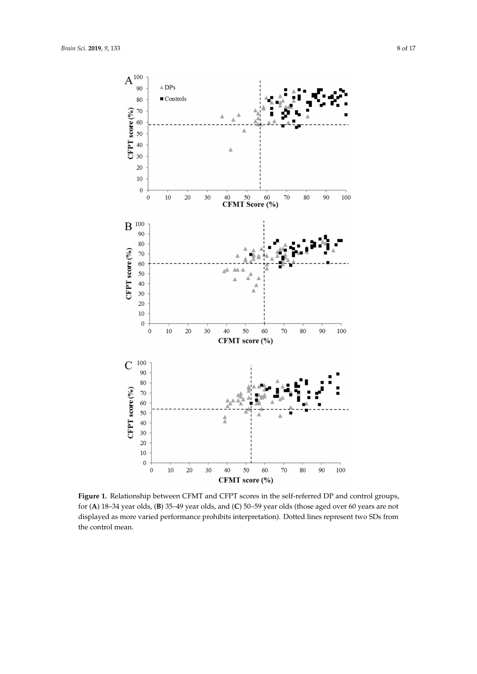<span id="page-8-0"></span>

**Figure 1.** Relationship between CFMT and CFPT scores in the self-referred DP and control groups, for (**A**) 18–34 year olds, (**B**) 35–49 year olds, and (**C**) 50–59 year olds (those aged over 60 years are not displayed as more varied performance prohibits interpretation). Dotted lines represent two SDs from the control mean.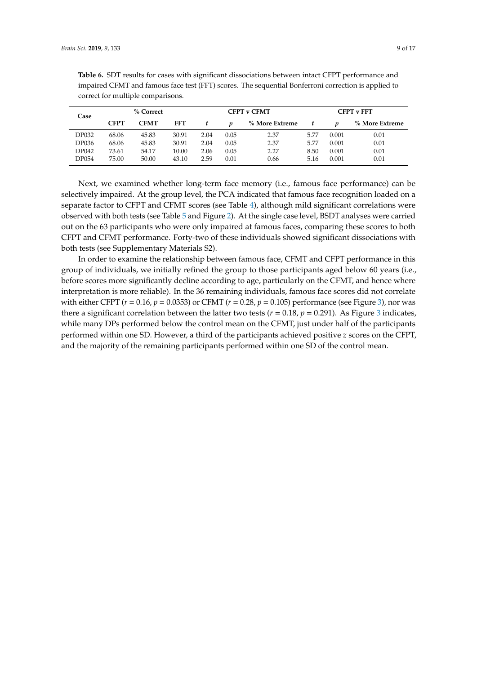| Case         | % Correct   |             |            | <b>CFPT v CFMT</b> |      |                | <b>CFPT v FFT</b> |       |                |
|--------------|-------------|-------------|------------|--------------------|------|----------------|-------------------|-------|----------------|
|              | <b>CFPT</b> | <b>CFMT</b> | <b>FFT</b> |                    |      | % More Extreme |                   |       | % More Extreme |
| <b>DP032</b> | 68.06       | 45.83       | 30.91      | 2.04               | 0.05 | 2.37           | 5.77              | 0.001 | 0.01           |
| <b>DP036</b> | 68.06       | 45.83       | 30.91      | 2.04               | 0.05 | 2.37           | 5.77              | 0.001 | 0.01           |
| <b>DP042</b> | 73.61       | 54.17       | 10.00      | 2.06               | 0.05 | 2.27           | 8.50              | 0.001 | 0.01           |
| DP054        | 75.00       | 50.00       | 43.10      | 2.59               | 0.01 | 0.66           | 5.16              | 0.001 | 0.01           |

<span id="page-9-0"></span>**Table 6.** SDT results for cases with significant dissociations between intact CFPT performance and impaired CFMT and famous face test (FFT) scores. The sequential Bonferroni correction is applied to correct for multiple comparisons.

Next, we examined whether long-term face memory (i.e., famous face performance) can be selectively impaired. At the group level, the PCA indicated that famous face recognition loaded on a separate factor to CFPT and CFMT scores (see Table [4\)](#page-7-0), although mild significant correlations were observed with both tests (see Table [5](#page-7-1) and Figure [2\)](#page-10-0). At the single case level, BSDT analyses were carried out on the 63 participants who were only impaired at famous faces, comparing these scores to both CFPT and CFMT performance. Forty-two of these individuals showed significant dissociations with both tests (see Supplementary Materials S2).

In order to examine the relationship between famous face, CFMT and CFPT performance in this group of individuals, we initially refined the group to those participants aged below 60 years (i.e., before scores more significantly decline according to age, particularly on the CFMT, and hence where interpretation is more reliable). In the 36 remaining individuals, famous face scores did not correlate with either CFPT (*r* = 0.16, *p* = 0.0353) or CFMT (*r* = 0.28, *p* = 0.105) performance (see Figure [3\)](#page-11-0), nor was there a significant correlation between the latter two tests ( $r = 0.18$ ,  $p = 0.291$ ). As Figure [3](#page-11-0) indicates, while many DPs performed below the control mean on the CFMT, just under half of the participants performed within one SD. However, a third of the participants achieved positive *z* scores on the CFPT, and the majority of the remaining participants performed within one SD of the control mean.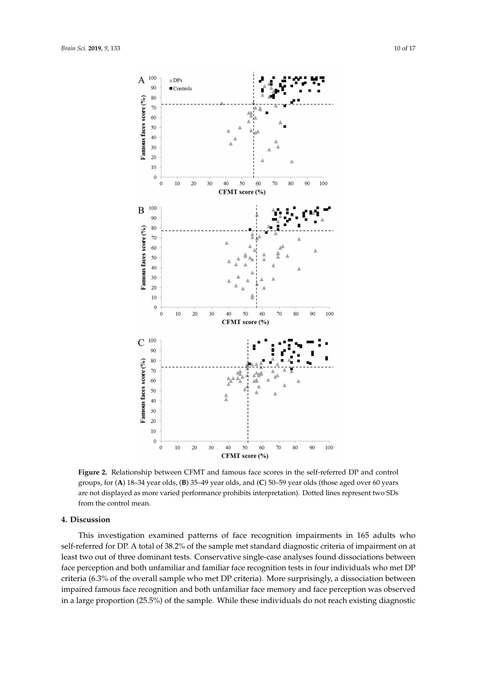<span id="page-10-0"></span>

**Figure 2.** Relationship between CFMT and famous face scores in the self-referred DP and control groups, for (**A**) 18–34 year olds, (**B**) 35–49 year olds, and (**C**) 50–59 year olds (those aged over 60 years are not displayed as more varied performance prohibits interpretation). Dotted lines represent two SDs from the control mean.

#### **4. Discussion**

This investigation examined patterns of face recognition impairments in 165 adults who self-referred for DP. A total of 38.2% of the sample met standard diagnostic criteria of impairment on at least two out of three dominant tests. Conservative single-case analyses found dissociations between face perception and both unfamiliar and familiar face recognition tests in four individuals who met DP criteria (6.3% of the overall sample who met DP criteria). More surprisingly, a dissociation between impaired famous face recognition and both unfamiliar face memory and face perception was observed in a large proportion (25.5%) of the sample. While these individuals do not reach existing diagnostic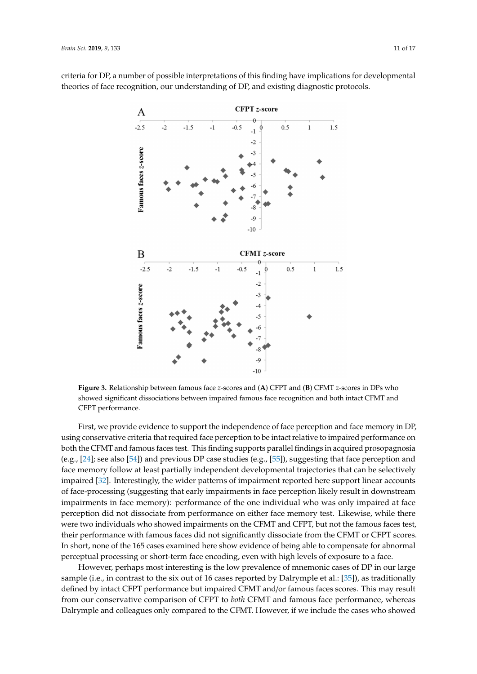

<span id="page-11-0"></span>criteria for DP, a number of possible interpretations of this finding have implications for developmental theories of face recognition, our understanding of DP, and existing diagnostic protocols.

**Figure 3.** Relationship between famous face *z*-scores and (**A**) CFPT and (**B**) CFMT *z*-scores in DPs who showed significant dissociations between impaired famous face recognition and both intact CFMT and CFPT performance.

First, we provide evidence to support the independence of face perception and face memory in DP, using conservative criteria that required face perception to be intact relative to impaired performance on both the CFMT and famous faces test. This finding supports parallel findings in acquired prosopagnosia (e.g., [\[24\]](#page-16-4); see also [\[54\]](#page-17-11)) and previous DP case studies (e.g., [\[55\]](#page-17-12)), suggesting that face perception and face memory follow at least partially independent developmental trajectories that can be selectively impaired [\[32\]](#page-16-11). Interestingly, the wider patterns of impairment reported here support linear accounts of face-processing (suggesting that early impairments in face perception likely result in downstream impairments in face memory): performance of the one individual who was only impaired at face perception did not dissociate from performance on either face memory test. Likewise, while there were two individuals who showed impairments on the CFMT and CFPT, but not the famous faces test, their performance with famous faces did not significantly dissociate from the CFMT or CFPT scores. In short, none of the 165 cases examined here show evidence of being able to compensate for abnormal perceptual processing or short-term face encoding, even with high levels of exposure to a face.

However, perhaps most interesting is the low prevalence of mnemonic cases of DP in our large sample (i.e., in contrast to the six out of 16 cases reported by Dalrymple et al.: [\[35\]](#page-16-14)), as traditionally defined by intact CFPT performance but impaired CFMT and/or famous faces scores. This may result from our conservative comparison of CFPT to *both* CFMT and famous face performance, whereas Dalrymple and colleagues only compared to the CFMT. However, if we include the cases who showed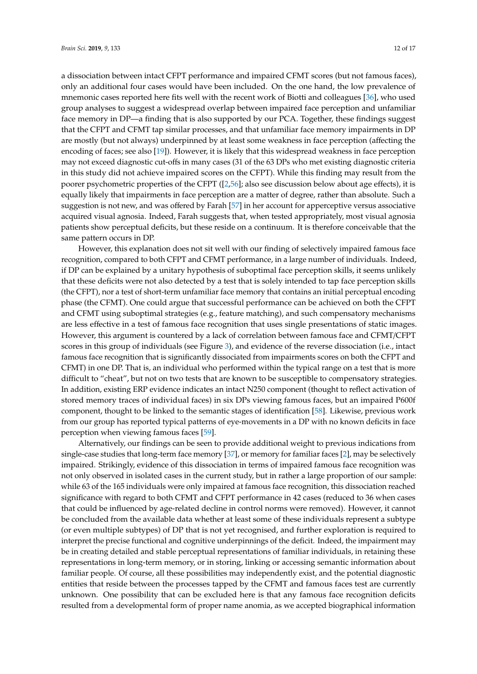a dissociation between intact CFPT performance and impaired CFMT scores (but not famous faces), only an additional four cases would have been included. On the one hand, the low prevalence of mnemonic cases reported here fits well with the recent work of Biotti and colleagues [\[36\]](#page-16-15), who used group analyses to suggest a widespread overlap between impaired face perception and unfamiliar face memory in DP—a finding that is also supported by our PCA. Together, these findings suggest that the CFPT and CFMT tap similar processes, and that unfamiliar face memory impairments in DP are mostly (but not always) underpinned by at least some weakness in face perception (affecting the encoding of faces; see also [\[19\]](#page-15-18)). However, it is likely that this widespread weakness in face perception may not exceed diagnostic cut-offs in many cases (31 of the 63 DPs who met existing diagnostic criteria in this study did not achieve impaired scores on the CFPT). While this finding may result from the poorer psychometric properties of the CFPT ([\[2,](#page-15-1)[56\]](#page-17-13); also see discussion below about age effects), it is equally likely that impairments in face perception are a matter of degree, rather than absolute. Such a suggestion is not new, and was offered by Farah [\[57\]](#page-17-14) in her account for apperceptive versus associative acquired visual agnosia. Indeed, Farah suggests that, when tested appropriately, most visual agnosia patients show perceptual deficits, but these reside on a continuum. It is therefore conceivable that the same pattern occurs in DP.

However, this explanation does not sit well with our finding of selectively impaired famous face recognition, compared to both CFPT and CFMT performance, in a large number of individuals. Indeed, if DP can be explained by a unitary hypothesis of suboptimal face perception skills, it seems unlikely that these deficits were not also detected by a test that is solely intended to tap face perception skills (the CFPT), nor a test of short-term unfamiliar face memory that contains an initial perceptual encoding phase (the CFMT). One could argue that successful performance can be achieved on both the CFPT and CFMT using suboptimal strategies (e.g., feature matching), and such compensatory mechanisms are less effective in a test of famous face recognition that uses single presentations of static images. However, this argument is countered by a lack of correlation between famous face and CFMT/CFPT scores in this group of individuals (see Figure [3\)](#page-11-0), and evidence of the reverse dissociation (i.e., intact famous face recognition that is significantly dissociated from impairments scores on both the CFPT and CFMT) in one DP. That is, an individual who performed within the typical range on a test that is more difficult to "cheat", but not on two tests that are known to be susceptible to compensatory strategies. In addition, existing ERP evidence indicates an intact N250 component (thought to reflect activation of stored memory traces of individual faces) in six DPs viewing famous faces, but an impaired P600f component, thought to be linked to the semantic stages of identification [\[58\]](#page-17-15). Likewise, previous work from our group has reported typical patterns of eye-movements in a DP with no known deficits in face perception when viewing famous faces [\[59\]](#page-17-16).

Alternatively, our findings can be seen to provide additional weight to previous indications from single-case studies that long-term face memory [\[37\]](#page-16-16), or memory for familiar faces [\[2\]](#page-15-1), may be selectively impaired. Strikingly, evidence of this dissociation in terms of impaired famous face recognition was not only observed in isolated cases in the current study, but in rather a large proportion of our sample: while 63 of the 165 individuals were only impaired at famous face recognition, this dissociation reached significance with regard to both CFMT and CFPT performance in 42 cases (reduced to 36 when cases that could be influenced by age-related decline in control norms were removed). However, it cannot be concluded from the available data whether at least some of these individuals represent a subtype (or even multiple subtypes) of DP that is not yet recognised, and further exploration is required to interpret the precise functional and cognitive underpinnings of the deficit. Indeed, the impairment may be in creating detailed and stable perceptual representations of familiar individuals, in retaining these representations in long-term memory, or in storing, linking or accessing semantic information about familiar people. Of course, all these possibilities may independently exist, and the potential diagnostic entities that reside between the processes tapped by the CFMT and famous faces test are currently unknown. One possibility that can be excluded here is that any famous face recognition deficits resulted from a developmental form of proper name anomia, as we accepted biographical information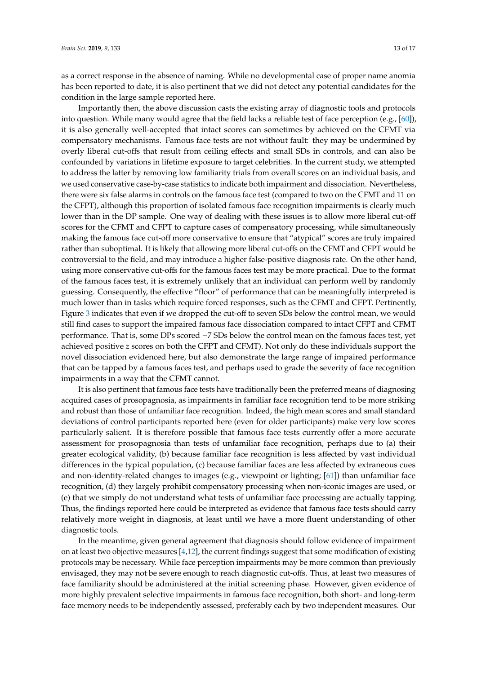as a correct response in the absence of naming. While no developmental case of proper name anomia has been reported to date, it is also pertinent that we did not detect any potential candidates for the condition in the large sample reported here.

Importantly then, the above discussion casts the existing array of diagnostic tools and protocols into question. While many would agree that the field lacks a reliable test of face perception (e.g., [\[60\]](#page-17-17)), it is also generally well-accepted that intact scores can sometimes by achieved on the CFMT via compensatory mechanisms. Famous face tests are not without fault: they may be undermined by overly liberal cut-offs that result from ceiling effects and small SDs in controls, and can also be confounded by variations in lifetime exposure to target celebrities. In the current study, we attempted to address the latter by removing low familiarity trials from overall scores on an individual basis, and we used conservative case-by-case statistics to indicate both impairment and dissociation. Nevertheless, there were six false alarms in controls on the famous face test (compared to two on the CFMT and 11 on the CFPT), although this proportion of isolated famous face recognition impairments is clearly much lower than in the DP sample. One way of dealing with these issues is to allow more liberal cut-off scores for the CFMT and CFPT to capture cases of compensatory processing, while simultaneously making the famous face cut-off more conservative to ensure that "atypical" scores are truly impaired rather than suboptimal. It is likely that allowing more liberal cut-offs on the CFMT and CFPT would be controversial to the field, and may introduce a higher false-positive diagnosis rate. On the other hand, using more conservative cut-offs for the famous faces test may be more practical. Due to the format of the famous faces test, it is extremely unlikely that an individual can perform well by randomly guessing. Consequently, the effective "floor" of performance that can be meaningfully interpreted is much lower than in tasks which require forced responses, such as the CFMT and CFPT. Pertinently, Figure [3](#page-11-0) indicates that even if we dropped the cut-off to seven SDs below the control mean, we would still find cases to support the impaired famous face dissociation compared to intact CFPT and CFMT performance. That is, some DPs scored −7 SDs below the control mean on the famous faces test, yet achieved positive *z* scores on both the CFPT and CFMT). Not only do these individuals support the novel dissociation evidenced here, but also demonstrate the large range of impaired performance that can be tapped by a famous faces test, and perhaps used to grade the severity of face recognition impairments in a way that the CFMT cannot.

It is also pertinent that famous face tests have traditionally been the preferred means of diagnosing acquired cases of prosopagnosia, as impairments in familiar face recognition tend to be more striking and robust than those of unfamiliar face recognition. Indeed, the high mean scores and small standard deviations of control participants reported here (even for older participants) make very low scores particularly salient. It is therefore possible that famous face tests currently offer a more accurate assessment for prosopagnosia than tests of unfamiliar face recognition, perhaps due to (a) their greater ecological validity, (b) because familiar face recognition is less affected by vast individual differences in the typical population, (c) because familiar faces are less affected by extraneous cues and non-identity-related changes to images (e.g., viewpoint or lighting;  $[61]$ ) than unfamiliar face recognition, (d) they largely prohibit compensatory processing when non-iconic images are used, or (e) that we simply do not understand what tests of unfamiliar face processing are actually tapping. Thus, the findings reported here could be interpreted as evidence that famous face tests should carry relatively more weight in diagnosis, at least until we have a more fluent understanding of other diagnostic tools.

In the meantime, given general agreement that diagnosis should follow evidence of impairment on at least two objective measures  $[4,12]$  $[4,12]$ , the current findings suggest that some modification of existing protocols may be necessary. While face perception impairments may be more common than previously envisaged, they may not be severe enough to reach diagnostic cut-offs. Thus, at least two measures of face familiarity should be administered at the initial screening phase. However, given evidence of more highly prevalent selective impairments in famous face recognition, both short- and long-term face memory needs to be independently assessed, preferably each by two independent measures. Our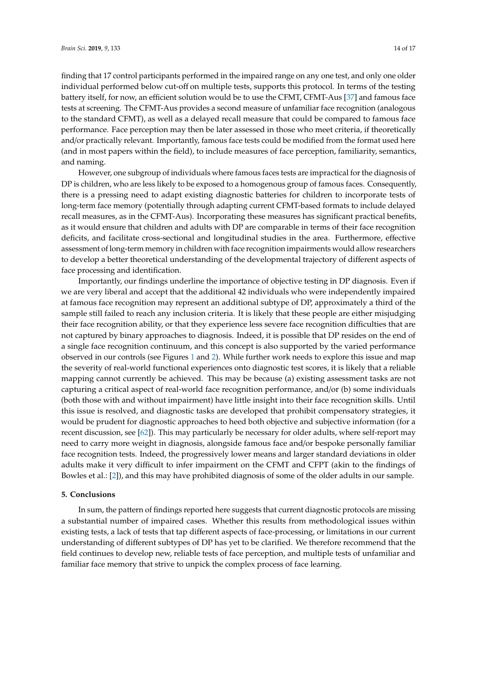finding that 17 control participants performed in the impaired range on any one test, and only one older individual performed below cut-off on multiple tests, supports this protocol. In terms of the testing battery itself, for now, an efficient solution would be to use the CFMT, CFMT-Aus [\[37\]](#page-16-16) and famous face tests at screening. The CFMT-Aus provides a second measure of unfamiliar face recognition (analogous to the standard CFMT), as well as a delayed recall measure that could be compared to famous face performance. Face perception may then be later assessed in those who meet criteria, if theoretically and/or practically relevant. Importantly, famous face tests could be modified from the format used here (and in most papers within the field), to include measures of face perception, familiarity, semantics, and naming.

However, one subgroup of individuals where famous faces tests are impractical for the diagnosis of DP is children, who are less likely to be exposed to a homogenous group of famous faces. Consequently, there is a pressing need to adapt existing diagnostic batteries for children to incorporate tests of long-term face memory (potentially through adapting current CFMT-based formats to include delayed recall measures, as in the CFMT-Aus). Incorporating these measures has significant practical benefits, as it would ensure that children and adults with DP are comparable in terms of their face recognition deficits, and facilitate cross-sectional and longitudinal studies in the area. Furthermore, effective assessment of long-term memory in children with face recognition impairments would allow researchers to develop a better theoretical understanding of the developmental trajectory of different aspects of face processing and identification.

Importantly, our findings underline the importance of objective testing in DP diagnosis. Even if we are very liberal and accept that the additional 42 individuals who were independently impaired at famous face recognition may represent an additional subtype of DP, approximately a third of the sample still failed to reach any inclusion criteria. It is likely that these people are either misjudging their face recognition ability, or that they experience less severe face recognition difficulties that are not captured by binary approaches to diagnosis. Indeed, it is possible that DP resides on the end of a single face recognition continuum, and this concept is also supported by the varied performance observed in our controls (see Figures [1](#page-8-0) and [2\)](#page-10-0). While further work needs to explore this issue and map the severity of real-world functional experiences onto diagnostic test scores, it is likely that a reliable mapping cannot currently be achieved. This may be because (a) existing assessment tasks are not capturing a critical aspect of real-world face recognition performance, and/or (b) some individuals (both those with and without impairment) have little insight into their face recognition skills. Until this issue is resolved, and diagnostic tasks are developed that prohibit compensatory strategies, it would be prudent for diagnostic approaches to heed both objective and subjective information (for a recent discussion, see [\[62\]](#page-17-19)). This may particularly be necessary for older adults, where self-report may need to carry more weight in diagnosis, alongside famous face and/or bespoke personally familiar face recognition tests. Indeed, the progressively lower means and larger standard deviations in older adults make it very difficult to infer impairment on the CFMT and CFPT (akin to the findings of Bowles et al.: [\[2\]](#page-15-1)), and this may have prohibited diagnosis of some of the older adults in our sample.

#### **5. Conclusions**

In sum, the pattern of findings reported here suggests that current diagnostic protocols are missing a substantial number of impaired cases. Whether this results from methodological issues within existing tests, a lack of tests that tap different aspects of face-processing, or limitations in our current understanding of different subtypes of DP has yet to be clarified. We therefore recommend that the field continues to develop new, reliable tests of face perception, and multiple tests of unfamiliar and familiar face memory that strive to unpick the complex process of face learning.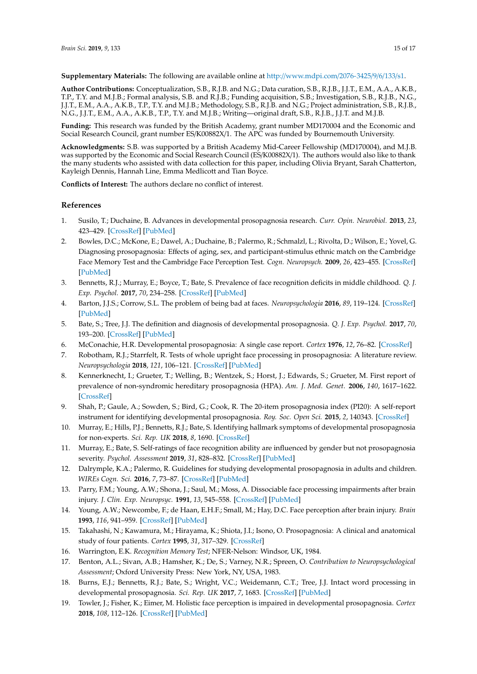**Supplementary Materials:** The following are available online at http://[www.mdpi.com](http://www.mdpi.com/2076-3425/9/6/133/s1)/2076-3425/9/6/133/s1.

**Author Contributions:** Conceptualization, S.B., R.J.B. and N.G.; Data curation, S.B., R.J.B., J.J.T., E.M., A.A., A.K.B., T.P., T.Y. and M.J.B.; Formal analysis, S.B. and R.J.B.; Funding acquisition, S.B.; Investigation, S.B., R.J.B., N.G., J.J.T., E.M., A.A., A.K.B., T.P., T.Y. and M.J.B.; Methodology, S.B., R.J.B. and N.G.; Project administration, S.B., R.J.B., N.G., J.J.T., E.M., A.A., A.K.B., T.P., T.Y. and M.J.B.; Writing—original draft, S.B., R.J.B., J.J.T. and M.J.B.

**Funding:** This research was funded by the British Academy, grant number MD170004 and the Economic and Social Research Council, grant number ES/K00882X/1. The APC was funded by Bournemouth University.

**Acknowledgments:** S.B. was supported by a British Academy Mid-Career Fellowship (MD170004), and M.J.B. was supported by the Economic and Social Research Council (ES/K00882X/1). The authors would also like to thank the many students who assisted with data collection for this paper, including Olivia Bryant, Sarah Chatterton, Kayleigh Dennis, Hannah Line, Emma Medlicott and Tian Boyce.

**Conflicts of Interest:** The authors declare no conflict of interest.

#### **References**

- <span id="page-15-0"></span>1. Susilo, T.; Duchaine, B. Advances in developmental prosopagnosia research. *Curr. Opin. Neurobiol.* **2013**, *23*, 423–429. [\[CrossRef\]](http://dx.doi.org/10.1016/j.conb.2012.12.011) [\[PubMed\]](http://www.ncbi.nlm.nih.gov/pubmed/23391526)
- <span id="page-15-1"></span>2. Bowles, D.C.; McKone, E.; Dawel, A.; Duchaine, B.; Palermo, R.; Schmalzl, L.; Rivolta, D.; Wilson, E.; Yovel, G. Diagnosing prosopagnosia: Effects of aging, sex, and participant-stimulus ethnic match on the Cambridge Face Memory Test and the Cambridge Face Perception Test. *Cogn. Neuropsych.* **2009**, *26*, 423–455. [\[CrossRef\]](http://dx.doi.org/10.1080/02643290903343149) [\[PubMed\]](http://www.ncbi.nlm.nih.gov/pubmed/19921582)
- <span id="page-15-2"></span>3. Bennetts, R.J.; Murray, E.; Boyce, T.; Bate, S. Prevalence of face recognition deficits in middle childhood. *Q. J. Exp. Psychol.* **2017**, *70*, 234–258. [\[CrossRef\]](http://dx.doi.org/10.1080/17470218.2016.1167924) [\[PubMed\]](http://www.ncbi.nlm.nih.gov/pubmed/26999413)
- <span id="page-15-3"></span>4. Barton, J.J.S.; Corrow, S.L. The problem of being bad at faces. *Neuropsychologia* **2016**, *89*, 119–124. [\[CrossRef\]](http://dx.doi.org/10.1016/j.neuropsychologia.2016.06.008) [\[PubMed\]](http://www.ncbi.nlm.nih.gov/pubmed/27312748)
- <span id="page-15-4"></span>5. Bate, S.; Tree, J.J. The definition and diagnosis of developmental prosopagnosia. *Q. J. Exp. Psychol.* **2017**, *70*, 193–200. [\[CrossRef\]](http://dx.doi.org/10.1080/17470218.2016.1195414) [\[PubMed\]](http://www.ncbi.nlm.nih.gov/pubmed/27251859)
- <span id="page-15-5"></span>6. McConachie, H.R. Developmental prosopagnosia: A single case report. *Cortex* **1976**, *12*, 76–82. [\[CrossRef\]](http://dx.doi.org/10.1016/S0010-9452(76)80033-0)
- <span id="page-15-6"></span>7. Robotham, R.J.; Starrfelt, R. Tests of whole upright face processing in prosopagnosia: A literature review. *Neuropsychologia* **2018**, *121*, 106–121. [\[CrossRef\]](http://dx.doi.org/10.1016/j.neuropsychologia.2018.10.018) [\[PubMed\]](http://www.ncbi.nlm.nih.gov/pubmed/30389553)
- <span id="page-15-7"></span>8. Kennerknecht, I.; Grueter, T.; Welling, B.; Wentzek, S.; Horst, J.; Edwards, S.; Grueter, M. First report of prevalence of non-syndromic hereditary prosopagnosia (HPA). *Am. J. Med. Genet.* **2006**, *140*, 1617–1622. [\[CrossRef\]](http://dx.doi.org/10.1002/ajmg.a.31343)
- <span id="page-15-8"></span>9. Shah, P.; Gaule, A.; Sowden, S.; Bird, G.; Cook, R. The 20-item prosopagnosia index (PI20): A self-report instrument for identifying developmental prosopagnosia. *Roy. Soc. Open Sci.* **2015**, *2*, 140343. [\[CrossRef\]](http://dx.doi.org/10.1098/rsos.140343)
- <span id="page-15-9"></span>10. Murray, E.; Hills, P.J.; Bennetts, R.J.; Bate, S. Identifying hallmark symptoms of developmental prosopagnosia for non-experts. *Sci. Rep. UK* **2018**, *8*, 1690. [\[CrossRef\]](http://dx.doi.org/10.1038/s41598-018-20089-7)
- <span id="page-15-10"></span>11. Murray, E.; Bate, S. Self-ratings of face recognition ability are influenced by gender but not prosopagnosia severity. *Psychol. Assessment* **2019**, *31*, 828–832. [\[CrossRef\]](http://dx.doi.org/10.1037/pas0000707) [\[PubMed\]](http://www.ncbi.nlm.nih.gov/pubmed/30730191)
- <span id="page-15-11"></span>12. Dalrymple, K.A.; Palermo, R. Guidelines for studying developmental prosopagnosia in adults and children. *WIREs Cogn. Sci.* **2016**, *7*, 73–87. [\[CrossRef\]](http://dx.doi.org/10.1002/wcs.1374) [\[PubMed\]](http://www.ncbi.nlm.nih.gov/pubmed/26681428)
- <span id="page-15-12"></span>13. Parry, F.M.; Young, A.W.; Shona, J.; Saul, M.; Moss, A. Dissociable face processing impairments after brain injury. *J. Clin. Exp. Neuropsyc.* **1991**, *13*, 545–558. [\[CrossRef\]](http://dx.doi.org/10.1080/01688639108401070) [\[PubMed\]](http://www.ncbi.nlm.nih.gov/pubmed/1918285)
- <span id="page-15-13"></span>14. Young, A.W.; Newcombe, F.; de Haan, E.H.F.; Small, M.; Hay, D.C. Face perception after brain injury. *Brain* **1993**, *116*, 941–959. [\[CrossRef\]](http://dx.doi.org/10.1093/brain/116.4.941) [\[PubMed\]](http://www.ncbi.nlm.nih.gov/pubmed/8353717)
- <span id="page-15-14"></span>15. Takahashi, N.; Kawamura, M.; Hirayama, K.; Shiota, J.I.; Isono, O. Prosopagnosia: A clinical and anatomical study of four patients. *Cortex* **1995**, *31*, 317–329. [\[CrossRef\]](http://dx.doi.org/10.1016/S0010-9452(13)80365-6)
- <span id="page-15-15"></span>16. Warrington, E.K. *Recognition Memory Test*; NFER-Nelson: Windsor, UK, 1984.
- <span id="page-15-16"></span>17. Benton, A.L.; Sivan, A.B.; Hamsher, K.; De, S.; Varney, N.R.; Spreen, O. *Contribution to Neuropsychological Assessment*; Oxford University Press: New York, NY, USA, 1983.
- <span id="page-15-17"></span>18. Burns, E.J.; Bennetts, R.J.; Bate, S.; Wright, V.C.; Weidemann, C.T.; Tree, J.J. Intact word processing in developmental prosopagnosia. *Sci. Rep. UK* **2017**, *7*, 1683. [\[CrossRef\]](http://dx.doi.org/10.1038/s41598-017-01917-8) [\[PubMed\]](http://www.ncbi.nlm.nih.gov/pubmed/28490791)
- <span id="page-15-18"></span>19. Towler, J.; Fisher, K.; Eimer, M. Holistic face perception is impaired in developmental prosopagnosia. *Cortex* **2018**, *108*, 112–126. [\[CrossRef\]](http://dx.doi.org/10.1016/j.cortex.2018.07.019) [\[PubMed\]](http://www.ncbi.nlm.nih.gov/pubmed/30165324)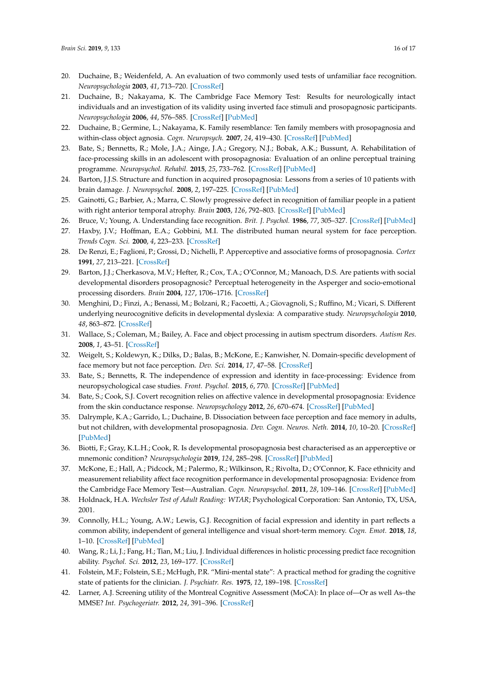- <span id="page-16-0"></span>20. Duchaine, B.; Weidenfeld, A. An evaluation of two commonly used tests of unfamiliar face recognition. *Neuropsychologia* **2003**, *41*, 713–720. [\[CrossRef\]](http://dx.doi.org/10.1016/S0028-3932(02)00222-1)
- <span id="page-16-1"></span>21. Duchaine, B.; Nakayama, K. The Cambridge Face Memory Test: Results for neurologically intact individuals and an investigation of its validity using inverted face stimuli and prosopagnosic participants. *Neuropsychologia* **2006**, *44*, 576–585. [\[CrossRef\]](http://dx.doi.org/10.1016/j.neuropsychologia.2005.07.001) [\[PubMed\]](http://www.ncbi.nlm.nih.gov/pubmed/16169565)
- <span id="page-16-2"></span>22. Duchaine, B.; Germine, L.; Nakayama, K. Family resemblance: Ten family members with prosopagnosia and within-class object agnosia. *Cogn. Neuropsych.* **2007**, *24*, 419–430. [\[CrossRef\]](http://dx.doi.org/10.1080/02643290701380491) [\[PubMed\]](http://www.ncbi.nlm.nih.gov/pubmed/18416499)
- <span id="page-16-3"></span>23. Bate, S.; Bennetts, R.; Mole, J.A.; Ainge, J.A.; Gregory, N.J.; Bobak, A.K.; Bussunt, A. Rehabilitation of face-processing skills in an adolescent with prosopagnosia: Evaluation of an online perceptual training programme. *Neuropsychol. Rehabil.* **2015**, *25*, 733–762. [\[CrossRef\]](http://dx.doi.org/10.1080/09602011.2014.973886) [\[PubMed\]](http://www.ncbi.nlm.nih.gov/pubmed/25369318)
- <span id="page-16-4"></span>24. Barton, J.J.S. Structure and function in acquired prosopagnosia: Lessons from a series of 10 patients with brain damage. *J. Neuropsychol.* **2008**, *2*, 197–225. [\[CrossRef\]](http://dx.doi.org/10.1348/174866407X214172) [\[PubMed\]](http://www.ncbi.nlm.nih.gov/pubmed/19334311)
- <span id="page-16-5"></span>25. Gainotti, G.; Barbier, A.; Marra, C. Slowly progressive defect in recognition of familiar people in a patient with right anterior temporal atrophy. *Brain* **2003**, *126*, 792–803. [\[CrossRef\]](http://dx.doi.org/10.1093/brain/awg092) [\[PubMed\]](http://www.ncbi.nlm.nih.gov/pubmed/12615639)
- <span id="page-16-6"></span>26. Bruce, V.; Young, A. Understanding face recognition. *Brit. J. Psychol.* **1986**, *77*, 305–327. [\[CrossRef\]](http://dx.doi.org/10.1111/j.2044-8295.1986.tb02199.x) [\[PubMed\]](http://www.ncbi.nlm.nih.gov/pubmed/3756376)
- <span id="page-16-7"></span>27. Haxby, J.V.; Hoffman, E.A.; Gobbini, M.I. The distributed human neural system for face perception. *Trends Cogn. Sci.* **2000**, *4*, 223–233. [\[CrossRef\]](http://dx.doi.org/10.1016/S1364-6613(00)01482-0)
- <span id="page-16-8"></span>28. De Renzi, E.; Faglioni, P.; Grossi, D.; Nichelli, P. Apperceptive and associative forms of prosopagnosia. *Cortex* **1991**, *27*, 213–221. [\[CrossRef\]](http://dx.doi.org/10.1016/S0010-9452(13)80125-6)
- <span id="page-16-9"></span>29. Barton, J.J.; Cherkasova, M.V.; Hefter, R.; Cox, T.A.; O'Connor, M.; Manoach, D.S. Are patients with social developmental disorders prosopagnosic? Perceptual heterogeneity in the Asperger and socio-emotional processing disorders. *Brain* **2004**, *127*, 1706–1716. [\[CrossRef\]](http://dx.doi.org/10.1093/brain/awh194)
- 30. Menghini, D.; Finzi, A.; Benassi, M.; Bolzani, R.; Facoetti, A.; Giovagnoli, S.; Ruffino, M.; Vicari, S. Different underlying neurocognitive deficits in developmental dyslexia: A comparative study. *Neuropsychologia* **2010**, *48*, 863–872. [\[CrossRef\]](http://dx.doi.org/10.1016/j.neuropsychologia.2009.11.003)
- <span id="page-16-10"></span>31. Wallace, S.; Coleman, M.; Bailey, A. Face and object processing in autism spectrum disorders. *Autism Res.* **2008**, *1*, 43–51. [\[CrossRef\]](http://dx.doi.org/10.1002/aur.7)
- <span id="page-16-11"></span>32. Weigelt, S.; Koldewyn, K.; Dilks, D.; Balas, B.; McKone, E.; Kanwisher, N. Domain-specific development of face memory but not face perception. *Dev. Sci.* **2014**, *17*, 47–58. [\[CrossRef\]](http://dx.doi.org/10.1111/desc.12089)
- <span id="page-16-12"></span>33. Bate, S.; Bennetts, R. The independence of expression and identity in face-processing: Evidence from neuropsychological case studies. *Front. Psychol.* **2015**, *6*, 770. [\[CrossRef\]](http://dx.doi.org/10.3389/fpsyg.2015.00770) [\[PubMed\]](http://www.ncbi.nlm.nih.gov/pubmed/26106348)
- <span id="page-16-13"></span>34. Bate, S.; Cook, S.J. Covert recognition relies on affective valence in developmental prosopagnosia: Evidence from the skin conductance response. *Neuropsychology* **2012**, *26*, 670–674. [\[CrossRef\]](http://dx.doi.org/10.1037/a0029443) [\[PubMed\]](http://www.ncbi.nlm.nih.gov/pubmed/22823135)
- <span id="page-16-14"></span>35. Dalrymple, K.A.; Garrido, L.; Duchaine, B. Dissociation between face perception and face memory in adults, but not children, with developmental prosopagnosia. *Dev. Cogn. Neuros. Neth.* **2014**, *10*, 10–20. [\[CrossRef\]](http://dx.doi.org/10.1016/j.dcn.2014.07.003) [\[PubMed\]](http://www.ncbi.nlm.nih.gov/pubmed/25160676)
- <span id="page-16-15"></span>36. Biotti, F.; Gray, K.L.H.; Cook, R. Is developmental prosopagnosia best characterised as an apperceptive or mnemonic condition? *Neuropsychologia* **2019**, *124*, 285–298. [\[CrossRef\]](http://dx.doi.org/10.1016/j.neuropsychologia.2018.11.014) [\[PubMed\]](http://www.ncbi.nlm.nih.gov/pubmed/30502377)
- <span id="page-16-16"></span>37. McKone, E.; Hall, A.; Pidcock, M.; Palermo, R.; Wilkinson, R.; Rivolta, D.; O'Connor, K. Face ethnicity and measurement reliability affect face recognition performance in developmental prosopagnosia: Evidence from the Cambridge Face Memory Test—Australian. *Cogn. Neuropsychol.* **2011**, *28*, 109–146. [\[CrossRef\]](http://dx.doi.org/10.1080/02643294.2011.616880) [\[PubMed\]](http://www.ncbi.nlm.nih.gov/pubmed/22122116)
- <span id="page-16-17"></span>38. Holdnack, H.A. *Wechsler Test of Adult Reading: WTAR*; Psychological Corporation: San Antonio, TX, USA, 2001.
- <span id="page-16-18"></span>39. Connolly, H.L.; Young, A.W.; Lewis, G.J. Recognition of facial expression and identity in part reflects a common ability, independent of general intelligence and visual short-term memory. *Cogn. Emot.* **2018**, *18*, 1–10. [\[CrossRef\]](http://dx.doi.org/10.1080/02699931.2018.1535425) [\[PubMed\]](http://www.ncbi.nlm.nih.gov/pubmed/30336725)
- <span id="page-16-19"></span>40. Wang, R.; Li, J.; Fang, H.; Tian, M.; Liu, J. Individual differences in holistic processing predict face recognition ability. *Psychol. Sci.* **2012**, *23*, 169–177. [\[CrossRef\]](http://dx.doi.org/10.1177/0956797611420575)
- <span id="page-16-20"></span>41. Folstein, M.F.; Folstein, S.E.; McHugh, P.R. "Mini-mental state": A practical method for grading the cognitive state of patients for the clinician. *J. Psychiatr. Res.* **1975**, *12*, 189–198. [\[CrossRef\]](http://dx.doi.org/10.1016/0022-3956(75)90026-6)
- <span id="page-16-21"></span>42. Larner, A.J. Screening utility of the Montreal Cognitive Assessment (MoCA): In place of—Or as well As–the MMSE? *Int. Psychogeriatr.* **2012**, *24*, 391–396. [\[CrossRef\]](http://dx.doi.org/10.1017/S1041610211001839)